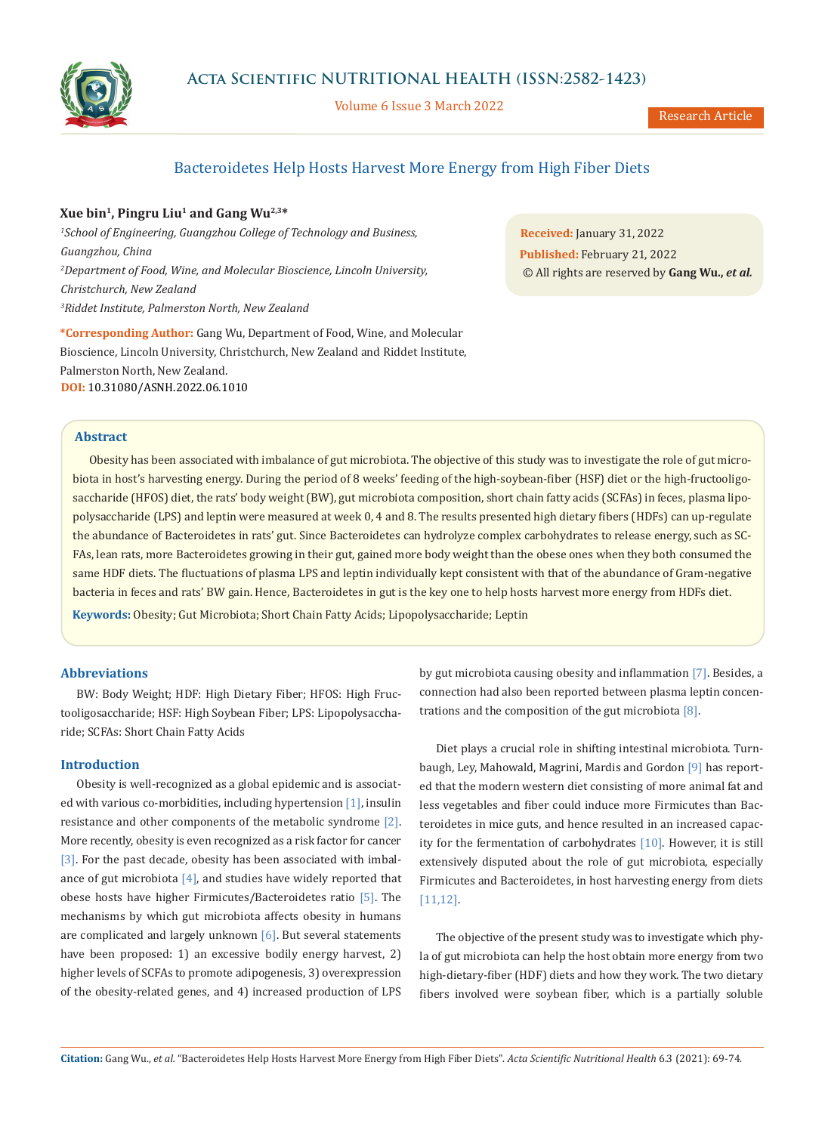

**Acta Scientific NUTRITIONAL HEALTH (ISSN:2582-1423)**

Volume 6 Issue 3 March 2022

# Bacteroidetes Help Hosts Harvest More Energy from High Fiber Diets

## **Xue bin1, Pingru Liu1 and Gang Wu2,3\***

*1 School of Engineering, Guangzhou College of Technology and Business, Guangzhou, China 2 Department of Food, Wine, and Molecular Bioscience, Lincoln University, Christchurch, New Zealand 3 Riddet Institute, Palmerston North, New Zealand*

**\*Corresponding Author:** Gang Wu, Department of Food, Wine, and Molecular Bioscience, Lincoln University, Christchurch, New Zealand and Riddet Institute, Palmerston North, New Zealand. **DOI:** [10.31080/ASNH.2022.06.1010](https://actascientific.com/ASNH/pdf/ASNH-06-1010.pdf)

**Received:** January 31, 2022 **Published:** February 21, 2022 © All rights are reserved by **Gang Wu.,** *et al.*

## **Abstract**

Obesity has been associated with imbalance of gut microbiota. The objective of this study was to investigate the role of gut microbiota in host's harvesting energy. During the period of 8 weeks' feeding of the high-soybean-fiber (HSF) diet or the high-fructooligosaccharide (HFOS) diet, the rats' body weight (BW), gut microbiota composition, short chain fatty acids (SCFAs) in feces, plasma lipopolysaccharide (LPS) and leptin were measured at week 0, 4 and 8. The results presented high dietary fibers (HDFs) can up-regulate the abundance of Bacteroidetes in rats' gut. Since Bacteroidetes can hydrolyze complex carbohydrates to release energy, such as SC-FAs, lean rats, more Bacteroidetes growing in their gut, gained more body weight than the obese ones when they both consumed the same HDF diets. The fluctuations of plasma LPS and leptin individually kept consistent with that of the abundance of Gram-negative bacteria in feces and rats' BW gain. Hence, Bacteroidetes in gut is the key one to help hosts harvest more energy from HDFs diet. **Keywords:** Obesity; Gut Microbiota; Short Chain Fatty Acids; Lipopolysaccharide; Leptin

### **Abbreviations**

BW: Body Weight; HDF: High Dietary Fiber; HFOS: High Fructooligosaccharide; HSF: High Soybean Fiber; LPS: Lipopolysaccharide; SCFAs: Short Chain Fatty Acids

## **Introduction**

Obesity is well-recognized as a global epidemic and is associated with various co-morbidities, including hypertension [1], insulin resistance and other components of the metabolic syndrome [2]. More recently, obesity is even recognized as a risk factor for cancer [3]. For the past decade, obesity has been associated with imbalance of gut microbiota  $[4]$ , and studies have widely reported that obese hosts have higher Firmicutes/Bacteroidetes ratio [5]. The mechanisms by which gut microbiota affects obesity in humans are complicated and largely unknown  $[6]$ . But several statements have been proposed: 1) an excessive bodily energy harvest, 2) higher levels of SCFAs to promote adipogenesis, 3) overexpression of the obesity-related genes, and 4) increased production of LPS by gut microbiota causing obesity and inflammation [7]. Besides, a connection had also been reported between plasma leptin concentrations and the composition of the gut microbiota  $[8]$ .

Diet plays a crucial role in shifting intestinal microbiota. Turnbaugh, Ley, Mahowald, Magrini, Mardis and Gordon [9] has reported that the modern western diet consisting of more animal fat and less vegetables and fiber could induce more Firmicutes than Bacteroidetes in mice guts, and hence resulted in an increased capacity for the fermentation of carbohydrates [10]. However, it is still extensively disputed about the role of gut microbiota, especially Firmicutes and Bacteroidetes, in host harvesting energy from diets [11,12].

The objective of the present study was to investigate which phyla of gut microbiota can help the host obtain more energy from two high-dietary-fiber (HDF) diets and how they work. The two dietary fibers involved were soybean fiber, which is a partially soluble

**Citation:** Gang Wu., *et al.* "Bacteroidetes Help Hosts Harvest More Energy from High Fiber Diets". *Acta Scientific Nutritional Health* 6.3 (2021): 69-74.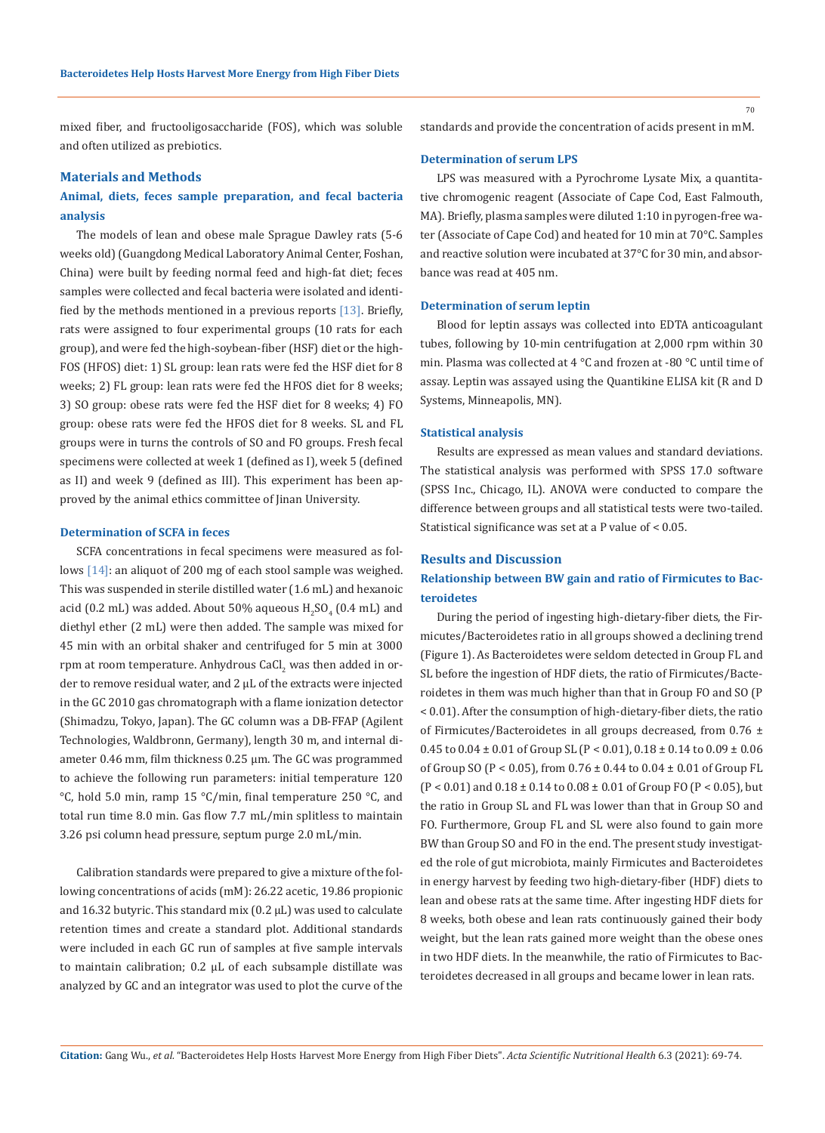mixed fiber, and fructooligosaccharide (FOS), which was soluble and often utilized as prebiotics.

### **Materials and Methods**

# **Animal, diets, feces sample preparation, and fecal bacteria analysis**

The models of lean and obese male Sprague Dawley rats (5-6 weeks old) (Guangdong Medical Laboratory Animal Center, Foshan, China) were built by feeding normal feed and high-fat diet; feces samples were collected and fecal bacteria were isolated and identified by the methods mentioned in a previous reports [13]. Briefly, rats were assigned to four experimental groups (10 rats for each group), and were fed the high-soybean-fiber (HSF) diet or the high-FOS (HFOS) diet: 1) SL group: lean rats were fed the HSF diet for 8 weeks; 2) FL group: lean rats were fed the HFOS diet for 8 weeks; 3) SO group: obese rats were fed the HSF diet for 8 weeks; 4) FO group: obese rats were fed the HFOS diet for 8 weeks. SL and FL groups were in turns the controls of SO and FO groups. Fresh fecal specimens were collected at week 1 (defined as I), week 5 (defined as II) and week 9 (defined as III). This experiment has been approved by the animal ethics committee of Jinan University.

#### **Determination of SCFA in feces**

SCFA concentrations in fecal specimens were measured as follows [14]: an aliquot of 200 mg of each stool sample was weighed. This was suspended in sterile distilled water (1.6 mL) and hexanoic acid (0.2 mL) was added. About 50% aqueous  $\rm{H_2SO_4}$  (0.4 mL) and diethyl ether (2 mL) were then added. The sample was mixed for 45 min with an orbital shaker and centrifuged for 5 min at 3000 rpm at room temperature. Anhydrous CaCl $_2$  was then added in order to remove residual water, and 2 μL of the extracts were injected in the GC 2010 gas chromatograph with a flame ionization detector (Shimadzu, Tokyo, Japan). The GC column was a DB-FFAP (Agilent Technologies, Waldbronn, Germany), length 30 m, and internal diameter 0.46 mm, film thickness 0.25 µm. The GC was programmed to achieve the following run parameters: initial temperature 120 °C, hold 5.0 min, ramp 15 °C/min, final temperature 250 °C, and total run time 8.0 min. Gas flow 7.7 mL/min splitless to maintain 3.26 psi column head pressure, septum purge 2.0 mL/min.

Calibration standards were prepared to give a mixture of the following concentrations of acids (mM): 26.22 acetic, 19.86 propionic and  $16.32$  butyric. This standard mix  $(0.2 \mu L)$  was used to calculate retention times and create a standard plot. Additional standards were included in each GC run of samples at five sample intervals to maintain calibration;  $0.2 \mu L$  of each subsample distillate was analyzed by GC and an integrator was used to plot the curve of the

standards and provide the concentration of acids present in mM.

#### **Determination of serum LPS**

LPS was measured with a Pyrochrome Lysate Mix, a quantitative chromogenic reagent (Associate of Cape Cod, East Falmouth, MA). Briefly, plasma samples were diluted 1:10 in pyrogen-free water (Associate of Cape Cod) and heated for 10 min at 70°C. Samples and reactive solution were incubated at 37°C for 30 min, and absorbance was read at 405 nm.

### **Determination of serum leptin**

Blood for leptin assays was collected into EDTA anticoagulant tubes, following by 10-min centrifugation at 2,000 rpm within 30 min. Plasma was collected at 4 °C and frozen at -80 °C until time of assay. Leptin was assayed using the Quantikine ELISA kit (R and D Systems, Minneapolis, MN).

### **Statistical analysis**

Results are expressed as mean values and standard deviations. The statistical analysis was performed with SPSS 17.0 software (SPSS Inc., Chicago, IL). ANOVA were conducted to compare the difference between groups and all statistical tests were two-tailed. Statistical significance was set at a P value of < 0.05.

### **Results and Discussion**

# **Relationship between BW gain and ratio of Firmicutes to Bacteroidetes**

During the period of ingesting high-dietary-fiber diets, the Firmicutes/Bacteroidetes ratio in all groups showed a declining trend (Figure 1). As Bacteroidetes were seldom detected in Group FL and SL before the ingestion of HDF diets, the ratio of Firmicutes/Bacteroidetes in them was much higher than that in Group FO and SO (P < 0.01). After the consumption of high-dietary-fiber diets, the ratio of Firmicutes/Bacteroidetes in all groups decreased, from 0.76 ± 0.45 to 0.04 ± 0.01 of Group SL (P < 0.01), 0.18 ± 0.14 to 0.09 ± 0.06 of Group SO (P < 0.05), from 0.76 ± 0.44 to 0.04 ± 0.01 of Group FL  $(P < 0.01)$  and  $0.18 \pm 0.14$  to  $0.08 \pm 0.01$  of Group FO  $(P < 0.05)$ , but the ratio in Group SL and FL was lower than that in Group SO and FO. Furthermore, Group FL and SL were also found to gain more BW than Group SO and FO in the end. The present study investigated the role of gut microbiota, mainly Firmicutes and Bacteroidetes in energy harvest by feeding two high-dietary-fiber (HDF) diets to lean and obese rats at the same time. After ingesting HDF diets for 8 weeks, both obese and lean rats continuously gained their body weight, but the lean rats gained more weight than the obese ones in two HDF diets. In the meanwhile, the ratio of Firmicutes to Bacteroidetes decreased in all groups and became lower in lean rats.

70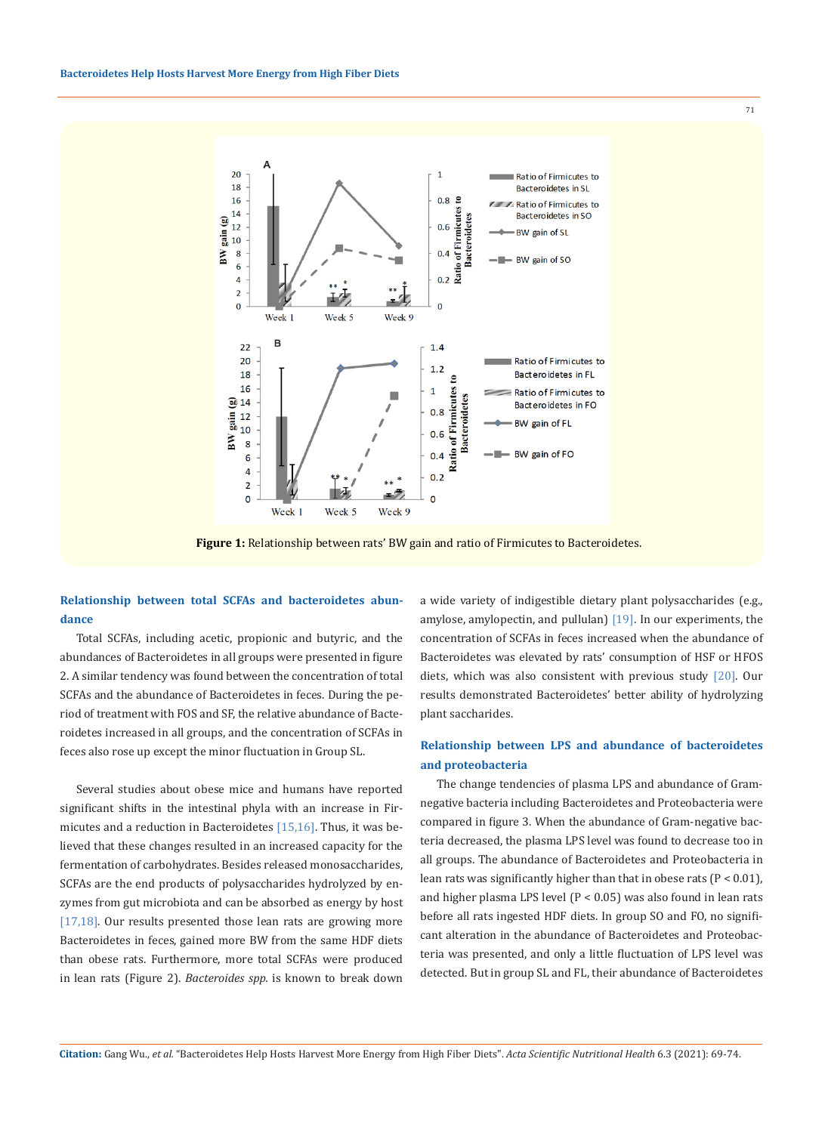

**Figure 1:** Relationship between rats' BW gain and ratio of Firmicutes to Bacteroidetes.

# **Relationship between total SCFAs and bacteroidetes abundance**

Total SCFAs, including acetic, propionic and butyric, and the abundances of Bacteroidetes in all groups were presented in figure 2. A similar tendency was found between the concentration of total SCFAs and the abundance of Bacteroidetes in feces. During the period of treatment with FOS and SF, the relative abundance of Bacteroidetes increased in all groups, and the concentration of SCFAs in feces also rose up except the minor fluctuation in Group SL.

Several studies about obese mice and humans have reported significant shifts in the intestinal phyla with an increase in Firmicutes and a reduction in Bacteroidetes [15,16]. Thus, it was believed that these changes resulted in an increased capacity for the fermentation of carbohydrates. Besides released monosaccharides, SCFAs are the end products of polysaccharides hydrolyzed by enzymes from gut microbiota and can be absorbed as energy by host [17,18]. Our results presented those lean rats are growing more Bacteroidetes in feces, gained more BW from the same HDF diets than obese rats. Furthermore, more total SCFAs were produced in lean rats (Figure 2). *Bacteroides spp.* is known to break down a wide variety of indigestible dietary plant polysaccharides (e.g., amylose, amylopectin, and pullulan) [19]. In our experiments, the concentration of SCFAs in feces increased when the abundance of Bacteroidetes was elevated by rats' consumption of HSF or HFOS diets, which was also consistent with previous study [20]. Our results demonstrated Bacteroidetes' better ability of hydrolyzing plant saccharides.

# **Relationship between LPS and abundance of bacteroidetes and proteobacteria**

The change tendencies of plasma LPS and abundance of Gramnegative bacteria including Bacteroidetes and Proteobacteria were compared in figure 3. When the abundance of Gram-negative bacteria decreased, the plasma LPS level was found to decrease too in all groups. The abundance of Bacteroidetes and Proteobacteria in lean rats was significantly higher than that in obese rats ( $P < 0.01$ ), and higher plasma LPS level  $(P < 0.05)$  was also found in lean rats before all rats ingested HDF diets. In group SO and FO, no significant alteration in the abundance of Bacteroidetes and Proteobacteria was presented, and only a little fluctuation of LPS level was detected. But in group SL and FL, their abundance of Bacteroidetes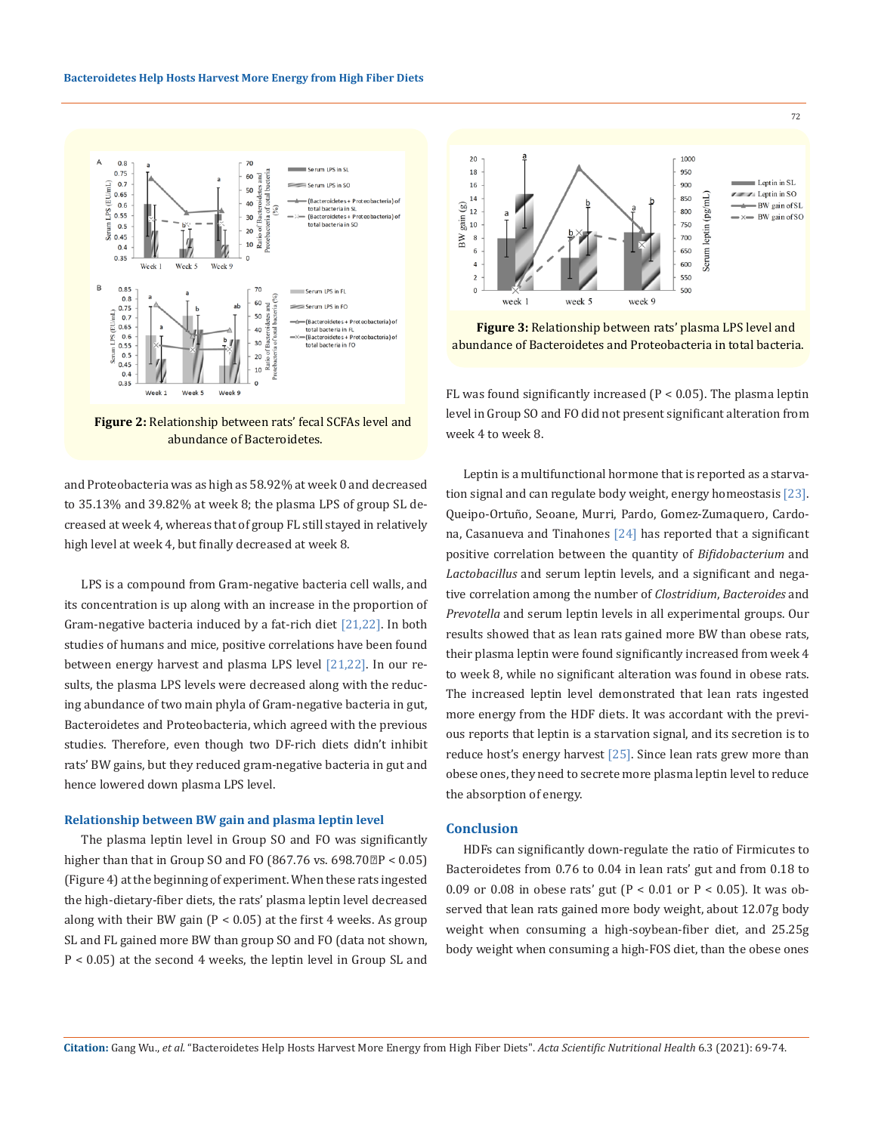



and Proteobacteria was as high as 58.92% at week 0 and decreased to 35.13% and 39.82% at week 8; the plasma LPS of group SL decreased at week 4, whereas that of group FL still stayed in relatively high level at week 4, but finally decreased at week 8.

LPS is a compound from Gram-negative bacteria cell walls, and its concentration is up along with an increase in the proportion of Gram-negative bacteria induced by a fat-rich diet [21,22]. In both studies of humans and mice, positive correlations have been found between energy harvest and plasma LPS level [21,22]. In our results, the plasma LPS levels were decreased along with the reducing abundance of two main phyla of Gram-negative bacteria in gut, Bacteroidetes and Proteobacteria, which agreed with the previous studies. Therefore, even though two DF-rich diets didn't inhibit rats' BW gains, but they reduced gram-negative bacteria in gut and hence lowered down plasma LPS level.

#### **Relationship between BW gain and plasma leptin level**

The plasma leptin level in Group SO and FO was significantly higher than that in Group SO and FO (867.76 vs. 698.70 $P < 0.05$ ) (Figure 4) at the beginning of experiment. When these rats ingested the high-dietary-fiber diets, the rats' plasma leptin level decreased along with their BW gain ( $P < 0.05$ ) at the first 4 weeks. As group SL and FL gained more BW than group SO and FO (data not shown, P < 0.05) at the second 4 weeks, the leptin level in Group SL and



72

**Figure 3:** Relationship between rats' plasma LPS level and abundance of Bacteroidetes and Proteobacteria in total bacteria.

FL was found significantly increased ( $P < 0.05$ ). The plasma leptin level in Group SO and FO did not present significant alteration from week 4 to week 8.

Leptin is a multifunctional hormone that is reported as a starvation signal and can regulate body weight, energy homeostasis [23]. Queipo-Ortuño, Seoane, Murri, Pardo, Gomez-Zumaquero, Cardona, Casanueva and Tinahones [24] has reported that a significant positive correlation between the quantity of *Bifidobacterium* and *Lactobacillus* and serum leptin levels, and a significant and negative correlation among the number of *Clostridium*, *Bacteroides* and *Prevotella* and serum leptin levels in all experimental groups. Our results showed that as lean rats gained more BW than obese rats, their plasma leptin were found significantly increased from week 4 to week 8, while no significant alteration was found in obese rats. The increased leptin level demonstrated that lean rats ingested more energy from the HDF diets. It was accordant with the previous reports that leptin is a starvation signal, and its secretion is to reduce host's energy harvest [25]. Since lean rats grew more than obese ones, they need to secrete more plasma leptin level to reduce the absorption of energy.

#### **Conclusion**

HDFs can significantly down-regulate the ratio of Firmicutes to Bacteroidetes from 0.76 to 0.04 in lean rats' gut and from 0.18 to 0.09 or 0.08 in obese rats' gut ( $P < 0.01$  or  $P < 0.05$ ). It was observed that lean rats gained more body weight, about 12.07g body weight when consuming a high-soybean-fiber diet, and 25.25g body weight when consuming a high-FOS diet, than the obese ones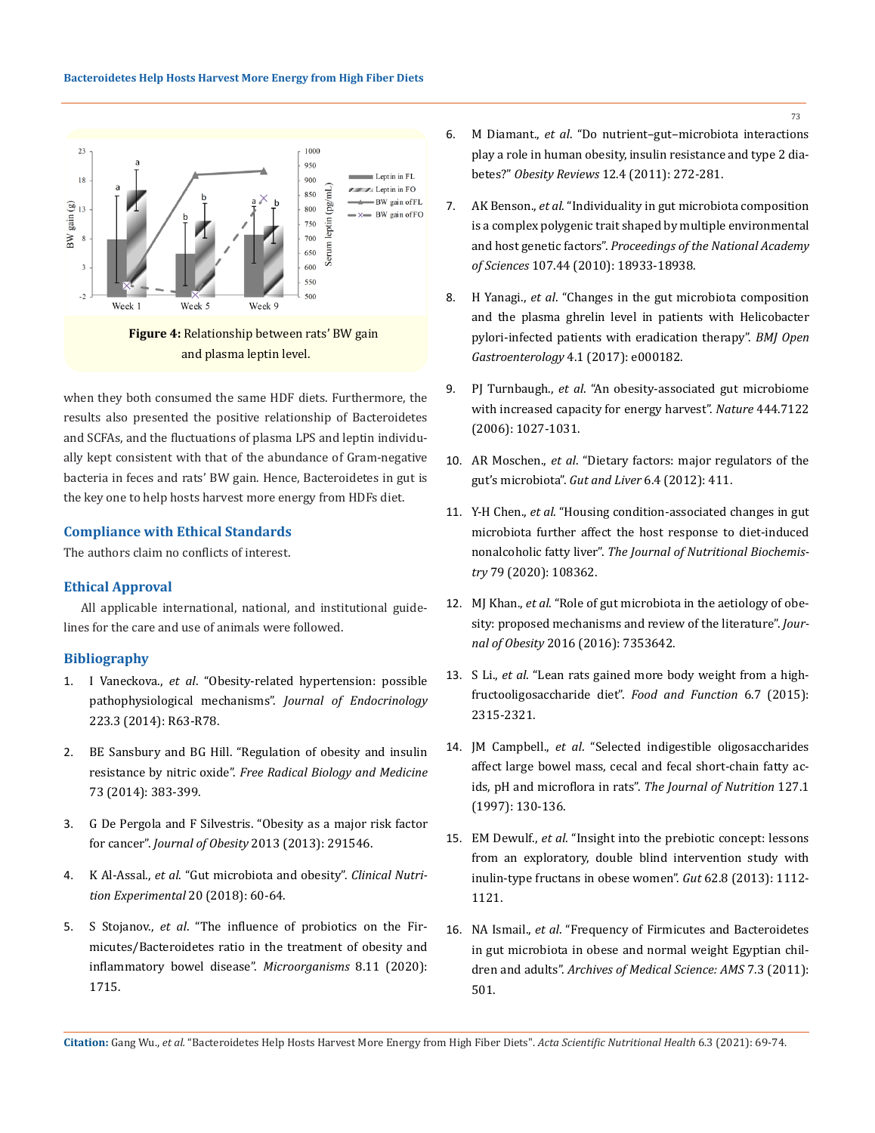

and plasma leptin level.

when they both consumed the same HDF diets. Furthermore, the results also presented the positive relationship of Bacteroidetes and SCFAs, and the fluctuations of plasma LPS and leptin individually kept consistent with that of the abundance of Gram-negative bacteria in feces and rats' BW gain. Hence, Bacteroidetes in gut is the key one to help hosts harvest more energy from HDFs diet.

### **Compliance with Ethical Standards**

The authors claim no conflicts of interest.

### **Ethical Approval**

All applicable international, national, and institutional guidelines for the care and use of animals were followed.

## **Bibliography**

- 1. I Vaneckova., *et al*[. "Obesity-related hypertension: possible](https://pubmed.ncbi.nlm.nih.gov/25385879/)  [pathophysiological mechanisms".](https://pubmed.ncbi.nlm.nih.gov/25385879/) *Journal of Endocrinology* [223.3 \(2014\): R63-R78.](https://pubmed.ncbi.nlm.nih.gov/25385879/)
- 2. [BE Sansbury and BG Hill. "Regulation of obesity and insulin](https://www.ncbi.nlm.nih.gov/pmc/articles/PMC4112002/)  resistance by nitric oxide". *[Free Radical Biology and Medicine](https://www.ncbi.nlm.nih.gov/pmc/articles/PMC4112002/)* [73 \(2014\): 383-399.](https://www.ncbi.nlm.nih.gov/pmc/articles/PMC4112002/)
- 3. [G De Pergola and F Silvestris. "Obesity as a major risk factor](https://www.ncbi.nlm.nih.gov/pmc/articles/PMC3773450/)  for cancer". *Journal of Obesity* [2013 \(2013\): 291546.](https://www.ncbi.nlm.nih.gov/pmc/articles/PMC3773450/)
- 4. K Al-Assal., *et al*[. "Gut microbiota and obesity".](https://www.sciencedirect.com/science/article/pii/S2352939318300162) *Clinical Nutri[tion Experimental](https://www.sciencedirect.com/science/article/pii/S2352939318300162)* 20 (2018): 60-64.
- 5. S Stojanov., *et al*[. "The influence of probiotics on the Fir](https://pubmed.ncbi.nlm.nih.gov/33139627/)[micutes/Bacteroidetes ratio in the treatment of obesity and](https://pubmed.ncbi.nlm.nih.gov/33139627/)  [inflammatory bowel disease".](https://pubmed.ncbi.nlm.nih.gov/33139627/) *Microorganisms* 8.11 (2020): [1715.](https://pubmed.ncbi.nlm.nih.gov/33139627/)
- 6. M Diamant., *et al*[. "Do nutrient–gut–microbiota interactions](https://pubmed.ncbi.nlm.nih.gov/20804522/)  [play a role in human obesity, insulin resistance and type 2 dia](https://pubmed.ncbi.nlm.nih.gov/20804522/)betes?" *Obesity Reviews* [12.4 \(2011\): 272-281.](https://pubmed.ncbi.nlm.nih.gov/20804522/)
- 7. AK Benson., *et al*[. "Individuality in gut microbiota composition](https://www.researchgate.net/publication/47395672_Individuality_in_gut_microbiota_composition_is_a_complex_polygenic_trait_shaped_by_multiple_environmental_and_host_genetic_factors)  [is a complex polygenic trait shaped by multiple environmental](https://www.researchgate.net/publication/47395672_Individuality_in_gut_microbiota_composition_is_a_complex_polygenic_trait_shaped_by_multiple_environmental_and_host_genetic_factors)  and host genetic factors". *[Proceedings of the National Academy](https://www.researchgate.net/publication/47395672_Individuality_in_gut_microbiota_composition_is_a_complex_polygenic_trait_shaped_by_multiple_environmental_and_host_genetic_factors)  of Sciences* [107.44 \(2010\): 18933-18938.](https://www.researchgate.net/publication/47395672_Individuality_in_gut_microbiota_composition_is_a_complex_polygenic_trait_shaped_by_multiple_environmental_and_host_genetic_factors)
- 8. H Yanagi., *et al*[. "Changes in the gut microbiota composition](https://bmjopengastro.bmj.com/content/4/1/e000182)  [and the plasma ghrelin level in patients with Helicobacter](https://bmjopengastro.bmj.com/content/4/1/e000182)  [pylori-infected patients with eradication therapy".](https://bmjopengastro.bmj.com/content/4/1/e000182) *BMJ Open Gastroenterology* [4.1 \(2017\): e000182.](https://bmjopengastro.bmj.com/content/4/1/e000182)
- 9. PJ Turnbaugh., *et al*[. "An obesity-associated gut microbiome](https://pubmed.ncbi.nlm.nih.gov/17183312/)  [with increased capacity for energy harvest".](https://pubmed.ncbi.nlm.nih.gov/17183312/) *Nature* 444.7122 [\(2006\): 1027-1031.](https://pubmed.ncbi.nlm.nih.gov/17183312/)
- 10. AR Moschen., *et al*[. "Dietary factors: major regulators of the](https://pubmed.ncbi.nlm.nih.gov/23170142/)  [gut's microbiota".](https://pubmed.ncbi.nlm.nih.gov/23170142/) *Gut and Liver* 6.4 (2012): 411.
- 11. Y-H Chen., *et al*[. "Housing condition-associated changes in gut](https://pubmed.ncbi.nlm.nih.gov/32163832/)  [microbiota further affect the host response to diet-induced](https://pubmed.ncbi.nlm.nih.gov/32163832/)  nonalcoholic fatty liver". *[The Journal of Nutritional Biochemis](https://pubmed.ncbi.nlm.nih.gov/32163832/)try* [79 \(2020\): 108362.](https://pubmed.ncbi.nlm.nih.gov/32163832/)
- 12. MJ Khan., *et al*[. "Role of gut microbiota in the aetiology of obe](https://pubmed.ncbi.nlm.nih.gov/27703805/)[sity: proposed mechanisms and review of the literature".](https://pubmed.ncbi.nlm.nih.gov/27703805/) *Journal of Obesity* [2016 \(2016\): 7353642.](https://pubmed.ncbi.nlm.nih.gov/27703805/)
- 13. S Li., *et al*[. "Lean rats gained more body weight from a high](https://pubmed.ncbi.nlm.nih.gov/26073303/)[fructooligosaccharide diet".](https://pubmed.ncbi.nlm.nih.gov/26073303/) *Food and Function* 6.7 (2015): [2315-2321.](https://pubmed.ncbi.nlm.nih.gov/26073303/)
- 14. JM Campbell., *et al*[. "Selected indigestible oligosaccharides](https://pubmed.ncbi.nlm.nih.gov/26073303/)  [affect large bowel mass, cecal and fecal short-chain fatty ac](https://pubmed.ncbi.nlm.nih.gov/26073303/)[ids, pH and microflora in rats".](https://pubmed.ncbi.nlm.nih.gov/26073303/) *The Journal of Nutrition* 127.1 [\(1997\): 130-136.](https://pubmed.ncbi.nlm.nih.gov/26073303/)
- 15. EM Dewulf., *et al*[. "Insight into the prebiotic concept: lessons](https://pubmed.ncbi.nlm.nih.gov/23135760/)  [from an exploratory, double blind intervention study with](https://pubmed.ncbi.nlm.nih.gov/23135760/)  [inulin-type fructans in obese women".](https://pubmed.ncbi.nlm.nih.gov/23135760/) *Gut* 62.8 (2013): 1112- [1121.](https://pubmed.ncbi.nlm.nih.gov/23135760/)
- 16. NA Ismail., *et al*[. "Frequency of Firmicutes and Bacteroidetes](https://pubmed.ncbi.nlm.nih.gov/22295035/)  [in gut microbiota in obese and normal weight Egyptian chil](https://pubmed.ncbi.nlm.nih.gov/22295035/)dren and adults". *[Archives of Medical Science: AMS](https://pubmed.ncbi.nlm.nih.gov/22295035/)* 7.3 (2011): [501.](https://pubmed.ncbi.nlm.nih.gov/22295035/)

**Citation:** Gang Wu., *et al.* "Bacteroidetes Help Hosts Harvest More Energy from High Fiber Diets". *Acta Scientific Nutritional Health* 6.3 (2021): 69-74.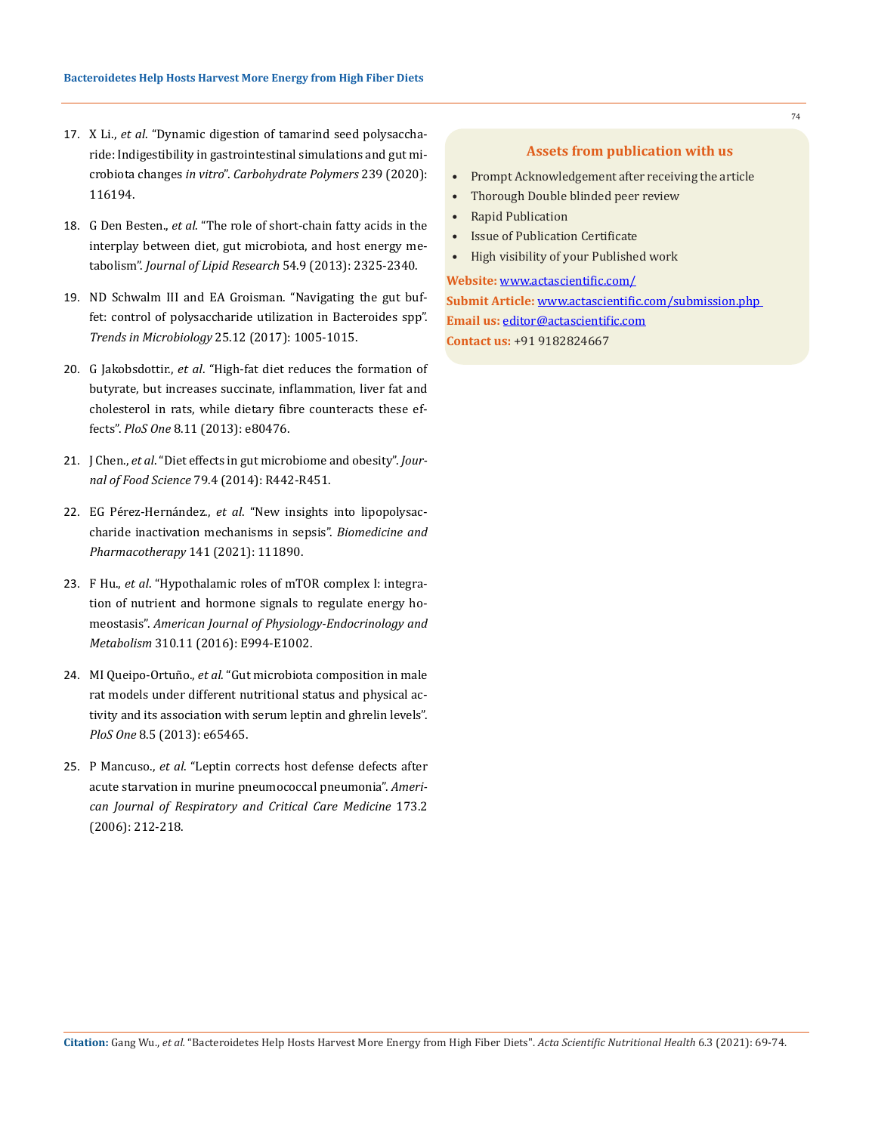- 17. X Li., *et al*[. "Dynamic digestion of tamarind seed polysaccha](https://pubmed.ncbi.nlm.nih.gov/32414435/)[ride: Indigestibility in gastrointestinal simulations and gut mi](https://pubmed.ncbi.nlm.nih.gov/32414435/)crobiota changes *in vitro*". *[Carbohydrate Polymers](https://pubmed.ncbi.nlm.nih.gov/32414435/)* 239 (2020): [116194.](https://pubmed.ncbi.nlm.nih.gov/32414435/)
- 18. G Den Besten., *et al*[. "The role of short-chain fatty acids in the](https://pubmed.ncbi.nlm.nih.gov/23821742/)  [interplay between diet, gut microbiota, and host energy me](https://pubmed.ncbi.nlm.nih.gov/23821742/)tabolism". *[Journal of Lipid Research](https://pubmed.ncbi.nlm.nih.gov/23821742/)* 54.9 (2013): 2325-2340.
- 19. [ND Schwalm III and EA Groisman. "Navigating the gut buf](https://pubmed.ncbi.nlm.nih.gov/28733133/)[fet: control of polysaccharide utilization in Bacteroides spp".](https://pubmed.ncbi.nlm.nih.gov/28733133/) *[Trends in Microbiology](https://pubmed.ncbi.nlm.nih.gov/28733133/)* 25.12 (2017): 1005-1015.
- 20. G Jakobsdottir., *et al*[. "High-fat diet reduces the formation of](https://pubmed.ncbi.nlm.nih.gov/24236183/)  [butyrate, but increases succinate, inflammation, liver fat and](https://pubmed.ncbi.nlm.nih.gov/24236183/)  [cholesterol in rats, while dietary fibre counteracts these ef](https://pubmed.ncbi.nlm.nih.gov/24236183/)fects". *PloS One* [8.11 \(2013\): e80476.](https://pubmed.ncbi.nlm.nih.gov/24236183/)
- 21. J Chen., *et al*[. "Diet effects in gut microbiome and obesity".](https://pubmed.ncbi.nlm.nih.gov/24621052/) *Journal of Food Science* [79.4 \(2014\): R442-R451.](https://pubmed.ncbi.nlm.nih.gov/24621052/)
- 22. EG Pérez-Hernández., *et al*[. "New insights into lipopolysac](https://pubmed.ncbi.nlm.nih.gov/34229252/)[charide inactivation mechanisms in sepsis".](https://pubmed.ncbi.nlm.nih.gov/34229252/) *Biomedicine and [Pharmacotherapy](https://pubmed.ncbi.nlm.nih.gov/34229252/)* 141 (2021): 111890.
- 23. F Hu., *et al*[. "Hypothalamic roles of mTOR complex I: integra](https://pubmed.ncbi.nlm.nih.gov/27166282/)[tion of nutrient and hormone signals to regulate energy ho](https://pubmed.ncbi.nlm.nih.gov/27166282/)meostasis". *[American Journal of Physiology-Endocrinology and](https://pubmed.ncbi.nlm.nih.gov/27166282/)  Metabolism* [310.11 \(2016\): E994-E1002.](https://pubmed.ncbi.nlm.nih.gov/27166282/)
- 24. MI Queipo-Ortuño., *et al*[. "Gut microbiota composition in male](https://pubmed.ncbi.nlm.nih.gov/23724144/)  [rat models under different nutritional status and physical ac](https://pubmed.ncbi.nlm.nih.gov/23724144/)[tivity and its association with serum leptin and ghrelin levels".](https://pubmed.ncbi.nlm.nih.gov/23724144/)  *PloS One* [8.5 \(2013\): e65465.](https://pubmed.ncbi.nlm.nih.gov/23724144/)
- 25. P Mancuso., *et al*[. "Leptin corrects host defense defects after](https://pubmed.ncbi.nlm.nih.gov/16210671/)  [acute starvation in murine pneumococcal pneumonia".](https://pubmed.ncbi.nlm.nih.gov/16210671/) *Ameri[can Journal of Respiratory and Critical Care Medicine](https://pubmed.ncbi.nlm.nih.gov/16210671/)* 173.2 [\(2006\): 212-218.](https://pubmed.ncbi.nlm.nih.gov/16210671/)

### **Assets from publication with us**

- Prompt Acknowledgement after receiving the article
- Thorough Double blinded peer review
- Rapid Publication
- Issue of Publication Certificate
- High visibility of your Published work

**Website:** www.actascientific.com/ **Submit Article:** www.actascientific.com/submission.php **Email us:** editor@actascientific.com **Contact us:** +91 9182824667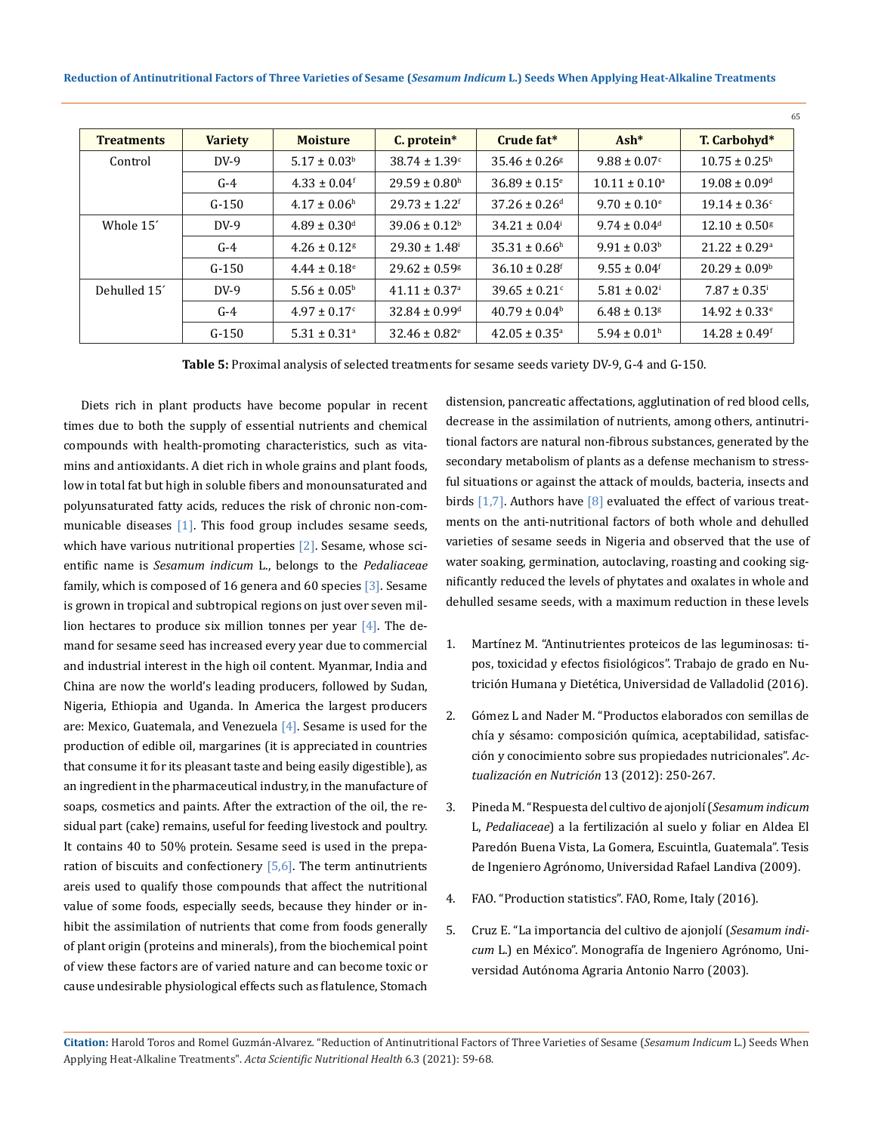| <b>Treatments</b>     | <b>Variety</b> | <b>Moisture</b>              | C. protein*                   | Crude fat*                    | $Ash*$                       | T. Carbohyd*                  |
|-----------------------|----------------|------------------------------|-------------------------------|-------------------------------|------------------------------|-------------------------------|
| Control               | $DV-9$         | $5.17 \pm 0.03^{\rm b}$      | $38.74 \pm 1.39$ <sup>c</sup> | $35.46 \pm 0.26$ <sup>g</sup> | $9.88 \pm 0.07$ <sup>c</sup> | $10.75 \pm 0.25^{\text{h}}$   |
|                       | $G-4$          | $4.33 \pm 0.04$ <sup>f</sup> | $29.59 \pm 0.80$ <sup>h</sup> | $36.89 \pm 0.15$ <sup>e</sup> | $10.11 \pm 0.10^a$           | $19.08 \pm 0.09$ <sup>d</sup> |
|                       | $G-150$        | $4.17 \pm 0.06^{\text{h}}$   | $29.73 \pm 1.22$ <sup>f</sup> | $37.26 \pm 0.26$ <sup>d</sup> | $9.70 \pm 0.10^{\circ}$      | $19.14 \pm 0.36$ <sup>c</sup> |
| Whole 15 <sup>'</sup> | $DV-9$         | $4.89 \pm 0.30$ <sup>d</sup> | $39.06 \pm 0.12^b$            | $34.21 \pm 0.04$ <sup>i</sup> | $9.74 \pm 0.04$ <sup>d</sup> | $12.10 \pm 0.50$ <sup>g</sup> |
|                       | $G-4$          | $4.26 \pm 0.12$ <sup>g</sup> | $29.30 \pm 1.48$ <sup>i</sup> | $35.31 \pm 0.66^{\text{h}}$   | $9.91 \pm 0.03^b$            | $21.22 \pm 0.29$ <sup>a</sup> |
|                       | $G-150$        | $4.44 \pm 0.18$ <sup>e</sup> | $29.62 \pm 0.59$ <sup>g</sup> | $36.10 \pm 0.28$ <sup>f</sup> | $9.55 \pm 0.04$ <sup>f</sup> | $20.29 \pm 0.09^{\circ}$      |
| Dehulled 15           | $DV-9$         | $5.56 \pm 0.05^{\rm b}$      | $41.11 \pm 0.37$ <sup>a</sup> | $39.65 \pm 0.21$ <sup>c</sup> | $5.81 \pm 0.02$ <sup>i</sup> | $7.87 \pm 0.35$ <sup>i</sup>  |
|                       | $G-4$          | $4.97 \pm 0.17$ <sup>c</sup> | $32.84 \pm 0.99$ <sup>d</sup> | $40.79 \pm 0.04^b$            | $6.48 \pm 0.13$ <sup>g</sup> | $14.92 \pm 0.33$ <sup>e</sup> |
|                       | $G-150$        | $5.31 \pm 0.31$ <sup>a</sup> | $32.46 \pm 0.82$ <sup>e</sup> | $42.05 \pm 0.35^{\circ}$      | $5.94 \pm 0.01$ <sup>h</sup> | $14.28 \pm 0.49$ <sup>f</sup> |

**Table 5:** Proximal analysis of selected treatments for sesame seeds variety DV-9, G-4 and G-150.

Diets rich in plant products have become popular in recent times due to both the supply of essential nutrients and chemical compounds with health-promoting characteristics, such as vitamins and antioxidants. A diet rich in whole grains and plant foods, low in total fat but high in soluble fibers and monounsaturated and polyunsaturated fatty acids, reduces the risk of chronic non-communicable diseases  $[1]$ . This food group includes sesame seeds, which have various nutritional properties  $[2]$ . Sesame, whose scientific name is *Sesamum indicum* L., belongs to the *Pedaliaceae* family, which is composed of 16 genera and 60 species [3]. Sesame is grown in tropical and subtropical regions on just over seven million hectares to produce six million tonnes per year  $[4]$ . The demand for sesame seed has increased every year due to commercial and industrial interest in the high oil content. Myanmar, India and China are now the world's leading producers, followed by Sudan, Nigeria, Ethiopia and Uganda. In America the largest producers are: Mexico, Guatemala, and Venezuela [4]. Sesame is used for the production of edible oil, margarines (it is appreciated in countries that consume it for its pleasant taste and being easily digestible), as an ingredient in the pharmaceutical industry, in the manufacture of soaps, cosmetics and paints. After the extraction of the oil, the residual part (cake) remains, useful for feeding livestock and poultry. It contains 40 to 50% protein. Sesame seed is used in the preparation of biscuits and confectionery  $[5,6]$ . The term antinutrients areis used to qualify those compounds that affect the nutritional value of some foods, especially seeds, because they hinder or inhibit the assimilation of nutrients that come from foods generally of plant origin (proteins and minerals), from the biochemical point of view these factors are of varied nature and can become toxic or cause undesirable physiological effects such as flatulence, Stomach

distension, pancreatic affectations, agglutination of red blood cells, decrease in the assimilation of nutrients, among others, antinutritional factors are natural non-fibrous substances, generated by the secondary metabolism of plants as a defense mechanism to stressful situations or against the attack of moulds, bacteria, insects and birds  $[1,7]$ . Authors have  $[8]$  evaluated the effect of various treatments on the anti-nutritional factors of both whole and dehulled varieties of sesame seeds in Nigeria and observed that the use of water soaking, germination, autoclaving, roasting and cooking significantly reduced the levels of phytates and oxalates in whole and dehulled sesame seeds, with a maximum reduction in these levels

65

- 1. [Martínez M. "Antinutrientes proteicos de las leguminosas: ti](https://uvadoc.uva.es/handle/10324/18140)[pos, toxicidad y efectos fisiológicos". Trabajo de grado en Nu](https://uvadoc.uva.es/handle/10324/18140)[trición Humana y Dietética, Universidad de Valladolid \(2016\).](https://uvadoc.uva.es/handle/10324/18140)
- 2. [Gómez L and Nader M. "Productos elaborados con semillas de](http://www.revistasan.org.ar/pdf_files/trabajos/vol_13/num_4/RSAN_13_4_250.pdf)  [chía y sésamo: composición química, aceptabilidad, satisfac](http://www.revistasan.org.ar/pdf_files/trabajos/vol_13/num_4/RSAN_13_4_250.pdf)[ción y conocimiento sobre sus propiedades nutricionales".](http://www.revistasan.org.ar/pdf_files/trabajos/vol_13/num_4/RSAN_13_4_250.pdf) *Ac[tualización en Nutrición](http://www.revistasan.org.ar/pdf_files/trabajos/vol_13/num_4/RSAN_13_4_250.pdf)* 13 (2012): 250-267.
- 3. [Pineda M. "Respuesta del cultivo de ajonjolí \(](http://biblio3.url.edu.gt/Tesario/2009/06/04/Pineda-Mynor.pdf)*Sesamum indicum* L, *Pedaliaceae*[\) a la fertilización al suelo y foliar en Aldea El](http://biblio3.url.edu.gt/Tesario/2009/06/04/Pineda-Mynor.pdf)  [Paredón Buena Vista, La Gomera, Escuintla, Guatemala". Tesis](http://biblio3.url.edu.gt/Tesario/2009/06/04/Pineda-Mynor.pdf)  [de Ingeniero Agrónomo, Universidad Rafael Landiva \(2009\).](http://biblio3.url.edu.gt/Tesario/2009/06/04/Pineda-Mynor.pdf)
- 4. FAO. "Production statistics". FAO, Rome, Italy (2016).
- 5. Cruz E. "La importancia del cultivo de ajonjolí (*Sesamum indicum* L.) en México". Monografía de Ingeniero Agrónomo, Universidad Autónoma Agraria Antonio Narro (2003).

**Citation:** Harold Toros and Romel Guzmán-Alvarez*.* "Reduction of Antinutritional Factors of Three Varieties of Sesame (*Sesamum Indicum* L.) Seeds When Applying Heat-Alkaline Treatments". *Acta Scientific Nutritional Health* 6.3 (2021): 59-68.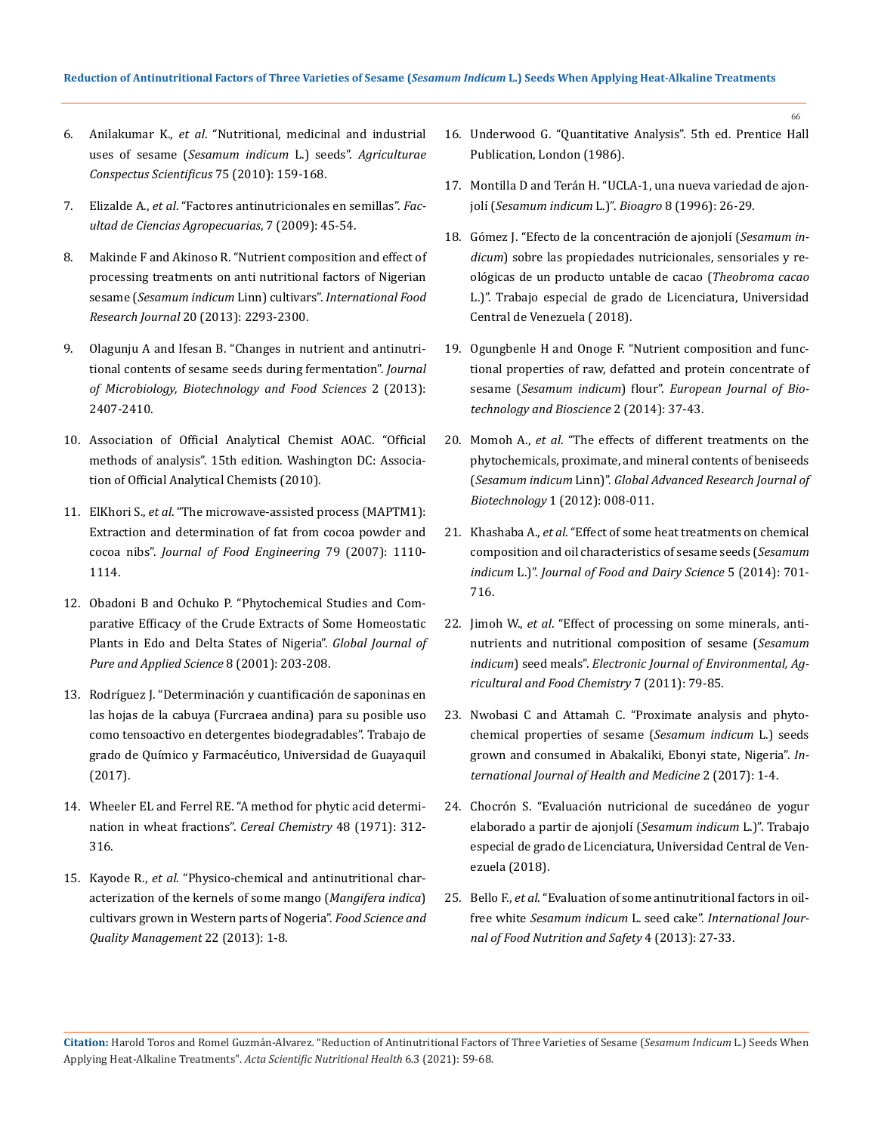- 6. Anilakumar K., *et al*[. "Nutritional, medicinal and industrial](https://www.researchgate.net/publication/50870025_Nutritional_Medicinal_and_Industrial_Uses_of_Sesame_Sesamum_indicum_L_Seeds_-_An_Overview)  uses of sesame (*[Sesamum indicum](https://www.researchgate.net/publication/50870025_Nutritional_Medicinal_and_Industrial_Uses_of_Sesame_Sesamum_indicum_L_Seeds_-_An_Overview)* L.) seeds". *Agriculturae [Conspectus Scientificus](https://www.researchgate.net/publication/50870025_Nutritional_Medicinal_and_Industrial_Uses_of_Sesame_Sesamum_indicum_L_Seeds_-_An_Overview)* 75 (2010): 159-168.
- 7. Elizalde A., *et al*[. "Factores antinutricionales en semillas".](http://www.scielo.org.co/pdf/bsaa/v7n1/v7n1a07.pdf) *Fac[ultad de Ciencias Agropecuarias](http://www.scielo.org.co/pdf/bsaa/v7n1/v7n1a07.pdf)*, 7 (2009): 45-54.
- 8. [Makinde F and Akinoso R. "Nutrient composition and effect of](http://www.ifrj.upm.edu.my/20%20(05)%202013/34%20IFRJ%2020%20(05)%202013%20Folasade%20035.pdf)  [processing treatments on anti nutritional factors of Nigerian](http://www.ifrj.upm.edu.my/20%20(05)%202013/34%20IFRJ%2020%20(05)%202013%20Folasade%20035.pdf)  sesame (*Sesamum indicum* Linn) cultivars". *[International Food](http://www.ifrj.upm.edu.my/20%20(05)%202013/34%20IFRJ%2020%20(05)%202013%20Folasade%20035.pdf)  Research Journal* [20 \(2013\): 2293-2300.](http://www.ifrj.upm.edu.my/20%20(05)%202013/34%20IFRJ%2020%20(05)%202013%20Folasade%20035.pdf)
- 9. [Olagunju A and Ifesan B. "Changes in nutrient and antinutri](https://www.jmbfs.org/wp-content/uploads/2013/06/jmbfs-0282-olagunju.pdf)[tional contents of sesame seeds during fermentation".](https://www.jmbfs.org/wp-content/uploads/2013/06/jmbfs-0282-olagunju.pdf) *Journal [of Microbiology, Biotechnology and Food Sciences](https://www.jmbfs.org/wp-content/uploads/2013/06/jmbfs-0282-olagunju.pdf)* 2 (2013): [2407-2410.](https://www.jmbfs.org/wp-content/uploads/2013/06/jmbfs-0282-olagunju.pdf)
- 10. [Association of Official Analytical Chemist AOAC. "Official](https://www.worldcat.org/title/official-methods-of-analysis-of-the-association-of-official-analytical-chemists/oclc/20709424)  [methods of analysis". 15th edition. Washington DC: Associa](https://www.worldcat.org/title/official-methods-of-analysis-of-the-association-of-official-analytical-chemists/oclc/20709424)[tion of Official Analytical Chemists \(2010\).](https://www.worldcat.org/title/official-methods-of-analysis-of-the-association-of-official-analytical-chemists/oclc/20709424)
- 11. ElKhori S., *et al*[. "The microwave-assisted process \(MAPTM1\):](https://www.sciencedirect.com/science/article/abs/pii/S0260877406002846)  [Extraction and determination of fat from cocoa powder and](https://www.sciencedirect.com/science/article/abs/pii/S0260877406002846)  cocoa nibs". *[Journal of Food Engineering](https://www.sciencedirect.com/science/article/abs/pii/S0260877406002846)* 79 (2007): 1110- [1114.](https://www.sciencedirect.com/science/article/abs/pii/S0260877406002846)
- 12. [Obadoni B and Ochuko P. "Phytochemical Studies and Com](https://www.ajol.info/index.php/gjpas/article/view/16033)[parative Efficacy of the Crude Extracts of Some Homeostatic](https://www.ajol.info/index.php/gjpas/article/view/16033)  [Plants in Edo and Delta States of Nigeria".](https://www.ajol.info/index.php/gjpas/article/view/16033) *Global Journal of [Pure and Applied Science](https://www.ajol.info/index.php/gjpas/article/view/16033)* 8 (2001): 203-208.
- 13. [Rodríguez J. "Determinación y cuantificación de saponinas en](http://repositorio.ug.edu.ec/handle/redug/19454)  [las hojas de la cabuya \(Furcraea andina\) para su posible uso](http://repositorio.ug.edu.ec/handle/redug/19454)  [como tensoactivo en detergentes biodegradables". Trabajo de](http://repositorio.ug.edu.ec/handle/redug/19454)  [grado de Químico y Farmacéutico, Universidad de Guayaquil](http://repositorio.ug.edu.ec/handle/redug/19454)  [\(2017\).](http://repositorio.ug.edu.ec/handle/redug/19454)
- 14. [Wheeler EL and Ferrel RE. "A method for phytic acid determi](https://www.cerealsgrains.org/publications/cc/backissues/1971/Documents/chem48_312.pdf)[nation in wheat fractions".](https://www.cerealsgrains.org/publications/cc/backissues/1971/Documents/chem48_312.pdf) *Cereal Chemistry* 48 (1971): 312- [316.](https://www.cerealsgrains.org/publications/cc/backissues/1971/Documents/chem48_312.pdf)
- 15. Kayode R., *et al*[. "Physico-chemical and antinutritional char](https://www.researchgate.net/publication/265476176_Physico-chemical_and_anti-nutritional_characterization_of_the_kernels_of_some_mango_Mangifera_indica_cultivars_grown_in_Western_parts_of_Nigeria)[acterization of the kernels of some mango \(](https://www.researchgate.net/publication/265476176_Physico-chemical_and_anti-nutritional_characterization_of_the_kernels_of_some_mango_Mangifera_indica_cultivars_grown_in_Western_parts_of_Nigeria)*Mangifera indica*) [cultivars grown in Western parts of Nogeria".](https://www.researchgate.net/publication/265476176_Physico-chemical_and_anti-nutritional_characterization_of_the_kernels_of_some_mango_Mangifera_indica_cultivars_grown_in_Western_parts_of_Nigeria) *Food Science and [Quality Management](https://www.researchgate.net/publication/265476176_Physico-chemical_and_anti-nutritional_characterization_of_the_kernels_of_some_mango_Mangifera_indica_cultivars_grown_in_Western_parts_of_Nigeria)* 22 (2013): 1-8.

16. [Underwood G. "Quantitative Analysis". 5th ed. Prentice Hall](https://gtu.ge/Agro-Lib/Vogels_TEXTBOOK_OF_QUANTITATIVE_CHEMICAL_ANALYSIS_5th_ed__-_G_H_Jeffery.MsuCity.pdf)  [Publication, London \(1986\).](https://gtu.ge/Agro-Lib/Vogels_TEXTBOOK_OF_QUANTITATIVE_CHEMICAL_ANALYSIS_5th_ed__-_G_H_Jeffery.MsuCity.pdf)

66

- 17. [Montilla D and Terán H. "UCLA-1, una nueva variedad de ajon](http://ve.scielo.org/scielo.php?script=sci_arttext&pid=S1316-33612017000100007&lng=es&nrm=iso&tlng=es)jolí (*[Sesamum indicum](http://ve.scielo.org/scielo.php?script=sci_arttext&pid=S1316-33612017000100007&lng=es&nrm=iso&tlng=es)* L.)". *Bioagro* 8 (1996): 26-29.
- 18. [Gómez J. "Efecto de la concentración de ajonjolí \(](http://revistas.sena.edu.co/index.php/recia/article/view/1675)*Sesamum indicum*[\) sobre las propiedades nutricionales, sensoriales y re](http://revistas.sena.edu.co/index.php/recia/article/view/1675)[ológicas de un producto untable de cacao \(](http://revistas.sena.edu.co/index.php/recia/article/view/1675)*Theobroma cacao* [L.\)". Trabajo especial de grado de Licenciatura, Universidad](http://revistas.sena.edu.co/index.php/recia/article/view/1675)  [Central de Venezuela \( 2018\).](http://revistas.sena.edu.co/index.php/recia/article/view/1675)
- 19. Ogungbenle H and Onoge F. "Nutrient composition and functional properties of raw, defatted and protein concentrate of sesame (*Sesamum indicum*) flour". *European Journal of Biotechnology and Bioscience* 2 (2014): 37-43.
- 20. Momoh A., *et al*[. "The effects of different treatments on the](http://garj.org/garjb/8/2012/1/1/the-effects-of-different-treatments-on-the-phytochemicals-proximate-and-mineral-contents-of-beniseeds-sesamum-indicum-linn)  [phytochemicals, proximate, and mineral contents of beniseeds](http://garj.org/garjb/8/2012/1/1/the-effects-of-different-treatments-on-the-phytochemicals-proximate-and-mineral-contents-of-beniseeds-sesamum-indicum-linn)  (*Sesamum indicum* Linn)". *[Global Advanced Research Journal of](http://garj.org/garjb/8/2012/1/1/the-effects-of-different-treatments-on-the-phytochemicals-proximate-and-mineral-contents-of-beniseeds-sesamum-indicum-linn)  Biotechnology* [1 \(2012\): 008-011.](http://garj.org/garjb/8/2012/1/1/the-effects-of-different-treatments-on-the-phytochemicals-proximate-and-mineral-contents-of-beniseeds-sesamum-indicum-linn)
- 21. Khashaba A., *et al*[. "Effect of some heat treatments on chemical](https://journals.ekb.eg/article_53204.html)  [composition and oil characteristics of sesame seeds \(](https://journals.ekb.eg/article_53204.html)*Sesamum indicum* L.)". *[Journal of Food and Dairy Science](https://journals.ekb.eg/article_53204.html)* 5 (2014): 701- [716.](https://journals.ekb.eg/article_53204.html)
- 22. Jimoh W., *et al*[. "Effect of processing on some minerals, anti](https://www.researchgate.net/publication/287635439_Effect_of_processing_on_some_minerals_anti-nutrients_and_nutritional_composition_of_sesame_Sesamum_indicum_seed_meals)[nutrients and nutritional composition of sesame \(](https://www.researchgate.net/publication/287635439_Effect_of_processing_on_some_minerals_anti-nutrients_and_nutritional_composition_of_sesame_Sesamum_indicum_seed_meals)*Sesamum indicum*) seed meals". *[Electronic Journal of Environmental, Ag](https://www.researchgate.net/publication/287635439_Effect_of_processing_on_some_minerals_anti-nutrients_and_nutritional_composition_of_sesame_Sesamum_indicum_seed_meals)[ricultural and Food Chemistry](https://www.researchgate.net/publication/287635439_Effect_of_processing_on_some_minerals_anti-nutrients_and_nutritional_composition_of_sesame_Sesamum_indicum_seed_meals)* 7 (2011): 79-85.
- 23. [Nwobasi C and Attamah C. "Proximate analysis and phyto](https://researchplusjournals.com/index.php/IJHM/article/view/359)[chemical properties of sesame \(](https://researchplusjournals.com/index.php/IJHM/article/view/359)*Sesamum indicum* L.) seeds [grown and consumed in Abakaliki, Ebonyi state, Nigeria".](https://researchplusjournals.com/index.php/IJHM/article/view/359) *In[ternational Journal of Health and Medicine](https://researchplusjournals.com/index.php/IJHM/article/view/359)* 2 (2017): 1-4.
- 24. Chocrón S. "Evaluación nutricional de sucedáneo de yogur elaborado a partir de ajonjolí (*Sesamum indicum* L.)". Trabajo especial de grado de Licenciatura, Universidad Central de Venezuela (2018).
- 25. Bello F., *et al*[. "Evaluation of some antinutritional factors in oil](https://www.researchgate.net/publication/326507245_Evaluation_of_Some_Anti-nutritional_Factors_in_Oil-Free_White_Sesamum_indicum_L_Seed_Cake)free white *Sesamum indicum* L. seed cake". *[International Jour](https://www.researchgate.net/publication/326507245_Evaluation_of_Some_Anti-nutritional_Factors_in_Oil-Free_White_Sesamum_indicum_L_Seed_Cake)[nal of Food Nutrition and Safety](https://www.researchgate.net/publication/326507245_Evaluation_of_Some_Anti-nutritional_Factors_in_Oil-Free_White_Sesamum_indicum_L_Seed_Cake)* 4 (2013): 27-33.

**Citation:** Harold Toros and Romel Guzmán-Alvarez*.* "Reduction of Antinutritional Factors of Three Varieties of Sesame (*Sesamum Indicum* L.) Seeds When Applying Heat-Alkaline Treatments". *Acta Scientific Nutritional Health* 6.3 (2021): 59-68.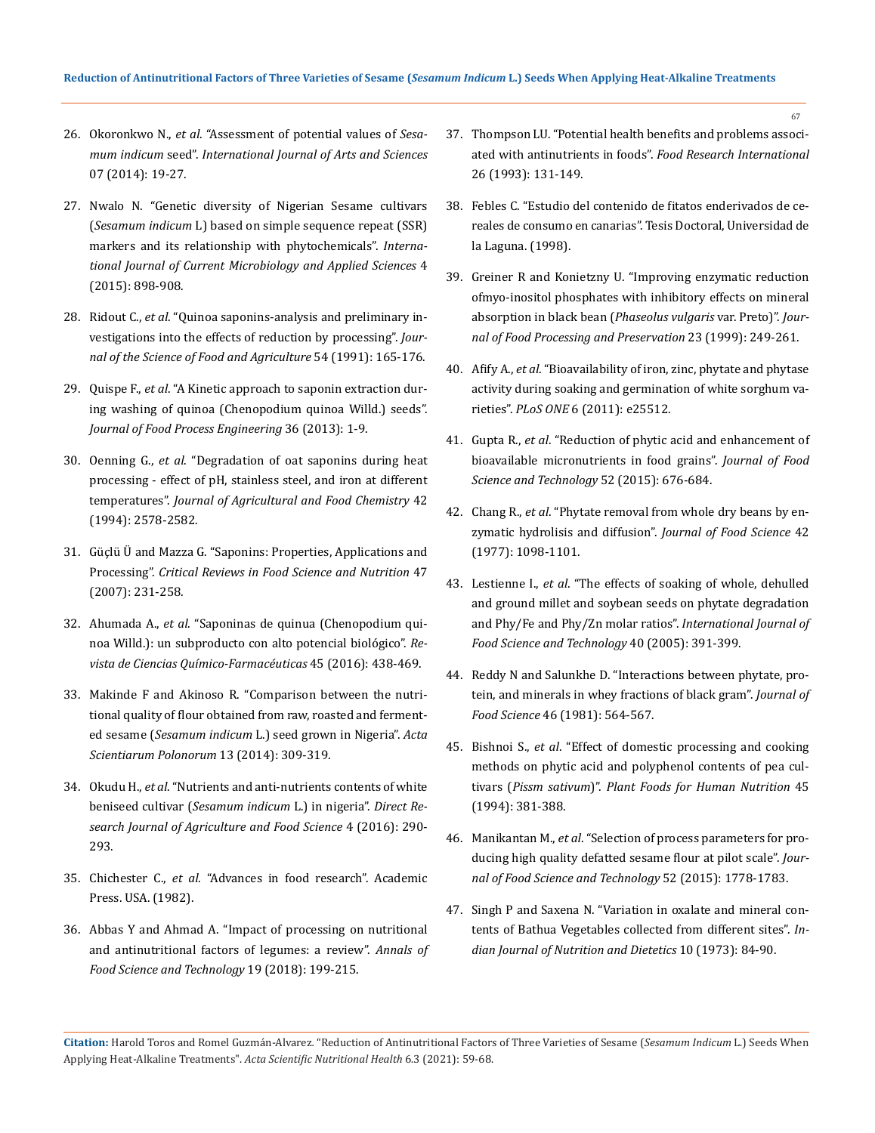- 26. Okoronkwo N., *et al*[. "Assessment of potential values of](https://www.researchgate.net/publication/301503854_Assessment_of_Potential_Values_of_Sesamum_indicum_Seed) *Sesamum indicum* seed". *[International Journal of Arts and Sciences](https://www.researchgate.net/publication/301503854_Assessment_of_Potential_Values_of_Sesamum_indicum_Seed)* [07 \(2014\): 19-27.](https://www.researchgate.net/publication/301503854_Assessment_of_Potential_Values_of_Sesamum_indicum_Seed)
- 27. [Nwalo N. "Genetic diversity of Nigerian Sesame cultivars](https://www.researchgate.net/publication/281099741_Genetic_diversity_of_Nigerian_Sesame_cultivars_Sesamum_indicum_L_based_on_simple_sequence_repeat_SSR_markers_and_its_relationship_with_phytochemicals_International_Journal_of_Current_Microbiology_and_/)  (*Sesamum indicum* [L\) based on simple sequence repeat \(SSR\)](https://www.researchgate.net/publication/281099741_Genetic_diversity_of_Nigerian_Sesame_cultivars_Sesamum_indicum_L_based_on_simple_sequence_repeat_SSR_markers_and_its_relationship_with_phytochemicals_International_Journal_of_Current_Microbiology_and_/)  [markers and its relationship with phytochemicals".](https://www.researchgate.net/publication/281099741_Genetic_diversity_of_Nigerian_Sesame_cultivars_Sesamum_indicum_L_based_on_simple_sequence_repeat_SSR_markers_and_its_relationship_with_phytochemicals_International_Journal_of_Current_Microbiology_and_/) *Interna[tional Journal of Current Microbiology and Applied Sciences](https://www.researchgate.net/publication/281099741_Genetic_diversity_of_Nigerian_Sesame_cultivars_Sesamum_indicum_L_based_on_simple_sequence_repeat_SSR_markers_and_its_relationship_with_phytochemicals_International_Journal_of_Current_Microbiology_and_/)* 4 [\(2015\): 898-908.](https://www.researchgate.net/publication/281099741_Genetic_diversity_of_Nigerian_Sesame_cultivars_Sesamum_indicum_L_based_on_simple_sequence_repeat_SSR_markers_and_its_relationship_with_phytochemicals_International_Journal_of_Current_Microbiology_and_/)
- 28. Ridout C., *et al*[. "Quinoa saponins-analysis and preliminary in](https://onlinelibrary.wiley.com/doi/abs/10.1002/jsfa.2740540202)[vestigations into the effects of reduction by processing".](https://onlinelibrary.wiley.com/doi/abs/10.1002/jsfa.2740540202) *Jour[nal of the Science of Food and Agriculture](https://onlinelibrary.wiley.com/doi/abs/10.1002/jsfa.2740540202)* 54 (1991): 165-176.
- 29. Quispe F., *et al*[. "A Kinetic approach to saponin extraction dur](https://onlinelibrary.wiley.com/doi/abs/10.1111/j.1745-4530.2012.00673.x)[ing washing of quinoa \(Chenopodium quinoa Willd.\) seeds".](https://onlinelibrary.wiley.com/doi/abs/10.1111/j.1745-4530.2012.00673.x)  *[Journal of Food Process Engineering](https://onlinelibrary.wiley.com/doi/abs/10.1111/j.1745-4530.2012.00673.x)* 36 (2013): 1-9.
- 30. Oenning G., *et al*[. "Degradation of oat saponins during heat](https://www.researchgate.net/publication/231545106_Degradation_of_Oat_Saponins_during_Heat_Processing_-_Effect_of_pH_Stainless_Steel_and_Iron_at_Different_Temperatures)  [processing - effect of pH, stainless steel, and iron at different](https://www.researchgate.net/publication/231545106_Degradation_of_Oat_Saponins_during_Heat_Processing_-_Effect_of_pH_Stainless_Steel_and_Iron_at_Different_Temperatures)  temperatures". *[Journal of Agricultural and Food Chemistry](https://www.researchgate.net/publication/231545106_Degradation_of_Oat_Saponins_during_Heat_Processing_-_Effect_of_pH_Stainless_Steel_and_Iron_at_Different_Temperatures)* 42 [\(1994\): 2578-2582.](https://www.researchgate.net/publication/231545106_Degradation_of_Oat_Saponins_during_Heat_Processing_-_Effect_of_pH_Stainless_Steel_and_Iron_at_Different_Temperatures)
- 31. [Güçlü Ü and Mazza G. "Saponins: Properties, Applications and](https://pubmed.ncbi.nlm.nih.gov/17453922/)  Processing". *[Critical Reviews in Food Science and Nutrition](https://pubmed.ncbi.nlm.nih.gov/17453922/)* 47 [\(2007\): 231-258.](https://pubmed.ncbi.nlm.nih.gov/17453922/)
- 32. Ahumada A., *et al*[. "Saponinas de quinua \(Chenopodium qui](http://www.scielo.org.co/scielo.php?pid=S0034-74182016000300006&script=sci_abstract&tlng=es)[noa Willd.\): un subproducto con alto potencial biológico".](http://www.scielo.org.co/scielo.php?pid=S0034-74182016000300006&script=sci_abstract&tlng=es) *Re[vista de Ciencias Químico-Farmacéuticas](http://www.scielo.org.co/scielo.php?pid=S0034-74182016000300006&script=sci_abstract&tlng=es)* 45 (2016): 438-469.
- 33. [Makinde F and Akinoso R. "Comparison between the nutri](https://pubmed.ncbi.nlm.nih.gov/24887946/)[tional quality of flour obtained from raw, roasted and ferment](https://pubmed.ncbi.nlm.nih.gov/24887946/)ed sesame (*Sesamum indicum* [L.\) seed grown in Nigeria".](https://pubmed.ncbi.nlm.nih.gov/24887946/) *Acta [Scientiarum Polonorum](https://pubmed.ncbi.nlm.nih.gov/24887946/)* 13 (2014): 309-319.
- 34. Okudu H., *et al*. "Nutrients and anti-nutrients contents of white beniseed cultivar (*Sesamum indicum* L.) in nigeria". *Direct Research Journal of Agriculture and Food Science* 4 (2016): 290- 293.
- 35. Chichester C., *et al*[. "Advances in food research". Academic](https://www.sciencedirect.com/bookseries/advances-in-food-research)  [Press. USA. \(1982\).](https://www.sciencedirect.com/bookseries/advances-in-food-research)
- 36. [Abbas Y and Ahmad A. "Impact of processing on nutritional](http://www.afst.valahia.ro/images/documente/2018/issue2/I.4_Abbas.pdf)  [and antinutritional factors of legumes: a review".](http://www.afst.valahia.ro/images/documente/2018/issue2/I.4_Abbas.pdf) *Annals of [Food Science and Technology](http://www.afst.valahia.ro/images/documente/2018/issue2/I.4_Abbas.pdf)* 19 (2018): 199-215.

37. [Thompson LU. "Potential health benefits and problems associ](https://www.sciencedirect.com/science/article/abs/pii/096399699390069U)ated with antinutrients in foods". *[Food Research International](https://www.sciencedirect.com/science/article/abs/pii/096399699390069U)* [26 \(1993\): 131-149.](https://www.sciencedirect.com/science/article/abs/pii/096399699390069U)

67

- 38. [Febles C. "Estudio del contenido de fitatos enderivados de ce](https://riull.ull.es/xmlui/handle/915/21232)[reales de consumo en canarias". Tesis Doctoral, Universidad de](https://riull.ull.es/xmlui/handle/915/21232)  [la Laguna. \(1998\).](https://riull.ull.es/xmlui/handle/915/21232)
- 39. [Greiner R and Konietzny U. "Improving enzymatic reduction](https://agris.fao.org/agris-search/search.do?recordID=DE2000L90017)  [ofmyo-inositol phosphates with inhibitory effects on mineral](https://agris.fao.org/agris-search/search.do?recordID=DE2000L90017)  [absorption in black bean \(](https://agris.fao.org/agris-search/search.do?recordID=DE2000L90017)*Phaseolus vulgaris* var. Preto)". *Jour[nal of Food Processing and Preservation](https://agris.fao.org/agris-search/search.do?recordID=DE2000L90017)* 23 (1999): 249-261.
- 40. Afify A., *et al*[. "Bioavailability of iron, zinc, phytate and phytase](https://pubmed.ncbi.nlm.nih.gov/22003395/)  [activity during soaking and germination of white sorghum va](https://pubmed.ncbi.nlm.nih.gov/22003395/)rieties". *PLoS ONE* [6 \(2011\): e25512.](https://pubmed.ncbi.nlm.nih.gov/22003395/)
- 41. Gupta R., *et al*[. "Reduction of phytic acid and enhancement of](https://pubmed.ncbi.nlm.nih.gov/25694676/)  [bioavailable micronutrients in food grains".](https://pubmed.ncbi.nlm.nih.gov/25694676/) *Journal of Food [Science and Technology](https://pubmed.ncbi.nlm.nih.gov/25694676/)* 52 (2015): 676-684.
- 42. Chang R., *et al*[. "Phytate removal from whole dry beans by en](https://www.researchgate.net/publication/229747779_Phytate_Removal_from_whole_dry_beans_by_enzymatic_hydrolysis_and_diffusion)[zymatic hydrolisis and diffusion".](https://www.researchgate.net/publication/229747779_Phytate_Removal_from_whole_dry_beans_by_enzymatic_hydrolysis_and_diffusion) *Journal of Food Science* 42 [\(1977\): 1098-1101.](https://www.researchgate.net/publication/229747779_Phytate_Removal_from_whole_dry_beans_by_enzymatic_hydrolysis_and_diffusion)
- 43. Lestienne I., *et al*[. "The effects of soaking of whole, dehulled](https://www.researchgate.net/publication/227745585_The_effects_of_soaking_of_whole_dehulled_and_ground_millet_and_soybean_seeds_on_phytate_degradation_and_PhyFe_and_PhyZn_molar_ratios)  [and ground millet and soybean seeds on phytate degradation](https://www.researchgate.net/publication/227745585_The_effects_of_soaking_of_whole_dehulled_and_ground_millet_and_soybean_seeds_on_phytate_degradation_and_PhyFe_and_PhyZn_molar_ratios)  [and Phy/Fe and Phy/Zn molar ratios".](https://www.researchgate.net/publication/227745585_The_effects_of_soaking_of_whole_dehulled_and_ground_millet_and_soybean_seeds_on_phytate_degradation_and_PhyFe_and_PhyZn_molar_ratios) *International Journal of [Food Science and Technology](https://www.researchgate.net/publication/227745585_The_effects_of_soaking_of_whole_dehulled_and_ground_millet_and_soybean_seeds_on_phytate_degradation_and_PhyFe_and_PhyZn_molar_ratios)* 40 (2005): 391-399.
- 44. [Reddy N and Salunkhe D. "Interactions between phytate, pro](https://ift.onlinelibrary.wiley.com/doi/abs/10.1111/j.1365-2621.1981.tb04911.x)[tein, and minerals in whey fractions of black gram".](https://ift.onlinelibrary.wiley.com/doi/abs/10.1111/j.1365-2621.1981.tb04911.x) *Journal of Food Science* [46 \(1981\): 564-567.](https://ift.onlinelibrary.wiley.com/doi/abs/10.1111/j.1365-2621.1981.tb04911.x)
- 45. Bishnoi S., *et al*[. "Effect of domestic processing and cooking](https://pubmed.ncbi.nlm.nih.gov/7971780/)  [methods on phytic acid and polyphenol contents of pea cul](https://pubmed.ncbi.nlm.nih.gov/7971780/)tivars (*Pissm sativum*)". *[Plant Foods for Human Nutrition](https://pubmed.ncbi.nlm.nih.gov/7971780/)* 45 [\(1994\): 381-388.](https://pubmed.ncbi.nlm.nih.gov/7971780/)
- 46. Manikantan M., *et al*[. "Selection of process parameters for pro](https://www.researchgate.net/publication/256583504_Selection_of_process_parameters_for_producing_high_quality_defatted_sesame_flour_at_pilot_scale)[ducing high quality defatted sesame flour at pilot scale".](https://www.researchgate.net/publication/256583504_Selection_of_process_parameters_for_producing_high_quality_defatted_sesame_flour_at_pilot_scale) *Jour[nal of Food Science and Technology](https://www.researchgate.net/publication/256583504_Selection_of_process_parameters_for_producing_high_quality_defatted_sesame_flour_at_pilot_scale)* 52 (2015): 1778-1783.
- 47. [Singh P and Saxena N. "Variation in oxalate and mineral con](https://eurekamag.com/research/027/836/027836563.php)[tents of Bathua Vegetables collected from different sites".](https://eurekamag.com/research/027/836/027836563.php) *In[dian Journal of Nutrition and Dietetics](https://eurekamag.com/research/027/836/027836563.php)* 10 (1973): 84-90.

**Citation:** Harold Toros and Romel Guzmán-Alvarez*.* "Reduction of Antinutritional Factors of Three Varieties of Sesame (*Sesamum Indicum* L.) Seeds When Applying Heat-Alkaline Treatments". *Acta Scientific Nutritional Health* 6.3 (2021): 59-68.